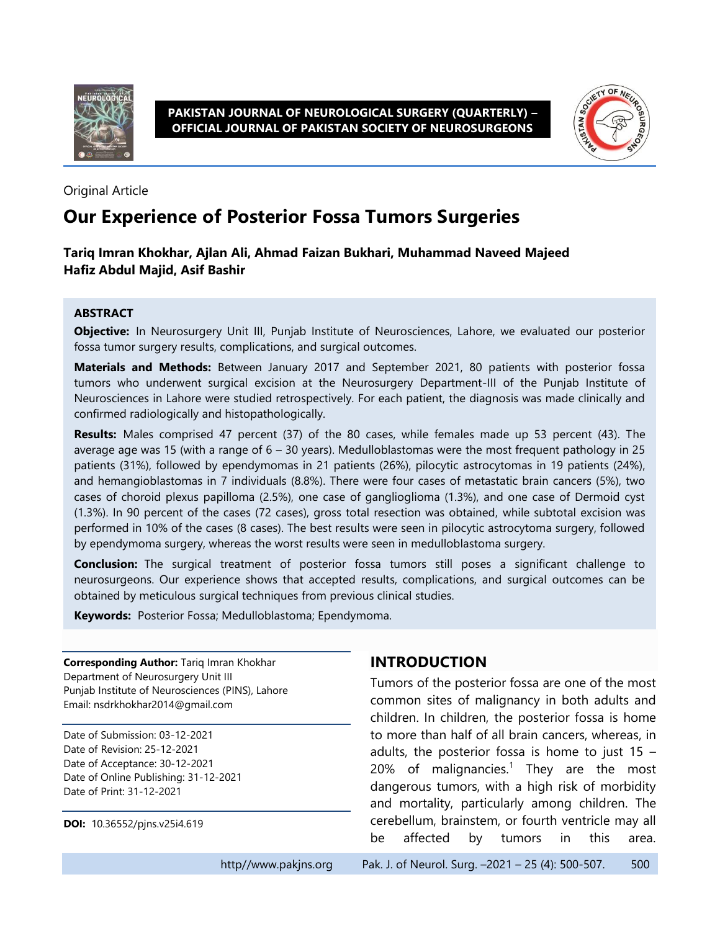

**PAKISTAN JOURNAL OF NEUROLOGICAL SURGERY (QUARTERLY) – OFFICIAL JOURNAL OF PAKISTAN SOCIETY OF NEUROSURGEONS**



Original Article

# **Our Experience of Posterior Fossa Tumors Surgeries**

#### **Tariq Imran Khokhar, Ajlan Ali, Ahmad Faizan Bukhari, Muhammad Naveed Majeed Hafiz Abdul Majid, Asif Bashir**

#### **ABSTRACT**

**Objective:** In Neurosurgery Unit III, Punjab Institute of Neurosciences, Lahore, we evaluated our posterior fossa tumor surgery results, complications, and surgical outcomes.

**Materials and Methods:** Between January 2017 and September 2021, 80 patients with posterior fossa tumors who underwent surgical excision at the Neurosurgery Department-III of the Punjab Institute of Neurosciences in Lahore were studied retrospectively. For each patient, the diagnosis was made clinically and confirmed radiologically and histopathologically.

**Results:** Males comprised 47 percent (37) of the 80 cases, while females made up 53 percent (43). The average age was 15 (with a range of 6 – 30 years). Medulloblastomas were the most frequent pathology in 25 patients (31%), followed by ependymomas in 21 patients (26%), pilocytic astrocytomas in 19 patients (24%), and hemangioblastomas in 7 individuals (8.8%). There were four cases of metastatic brain cancers (5%), two cases of choroid plexus papilloma (2.5%), one case of ganglioglioma (1.3%), and one case of Dermoid cyst (1.3%). In 90 percent of the cases (72 cases), gross total resection was obtained, while subtotal excision was performed in 10% of the cases (8 cases). The best results were seen in pilocytic astrocytoma surgery, followed by ependymoma surgery, whereas the worst results were seen in medulloblastoma surgery.

**Conclusion:** The surgical treatment of posterior fossa tumors still poses a significant challenge to neurosurgeons. Our experience shows that accepted results, complications, and surgical outcomes can be obtained by meticulous surgical techniques from previous clinical studies.

**Keywords:** Posterior Fossa; Medulloblastoma; Ependymoma.

**Corresponding Author:** Tariq Imran Khokhar Department of Neurosurgery Unit III Punjab Institute of Neurosciences (PINS), Lahore Email: nsdrkhokhar2014@gmail.com

Date of Submission: 03-12-2021 Date of Revision: 25-12-2021 Date of Acceptance: 30-12-2021 Date of Online Publishing: 31-12-2021 Date of Print: 31-12-2021

**DOI:** 10.36552/pjns.v25i4.619

### **INTRODUCTION**

Tumors of the posterior fossa are one of the most common sites of malignancy in both adults and children. In children, the posterior fossa is home to more than half of all brain cancers, whereas, in adults, the posterior fossa is home to just  $15 -$ 20% of malignancies.<sup>1</sup> They are the most dangerous tumors, with a high risk of morbidity and mortality, particularly among children. The cerebellum, brainstem, or fourth ventricle may all be affected by tumors in this area.

http//www.pakjns.org Pak. J. of Neurol. Surg. -2021 - 25 (4): 500-507. 500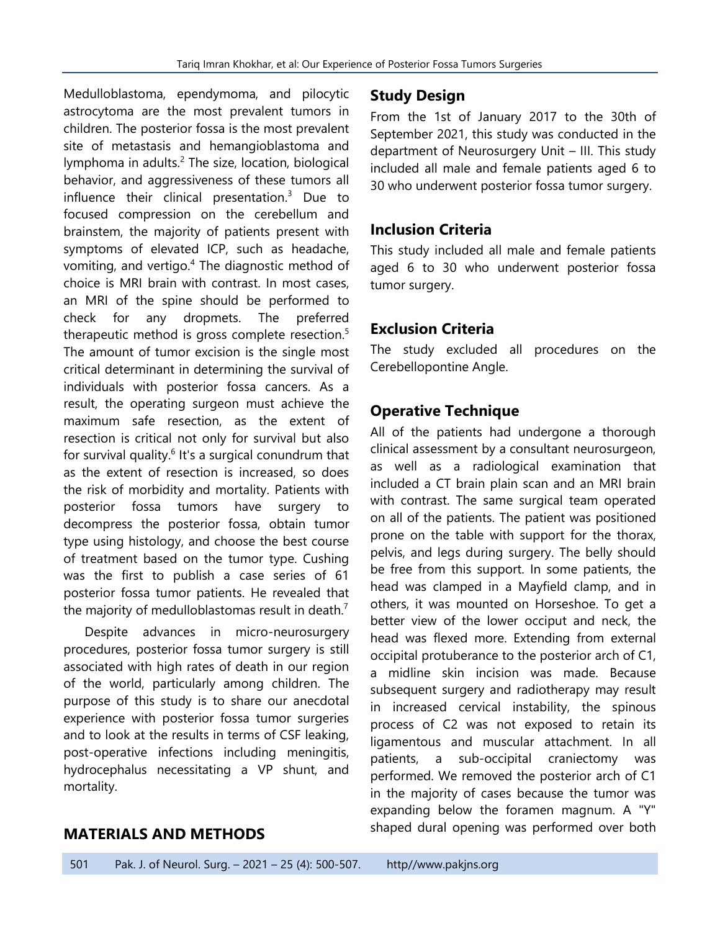Medulloblastoma, ependymoma, and pilocytic astrocytoma are the most prevalent tumors in children. The posterior fossa is the most prevalent site of metastasis and hemangioblastoma and lymphoma in adults.<sup>2</sup> The size, location, biological behavior, and aggressiveness of these tumors all influence their clinical presentation. $3$  Due to focused compression on the cerebellum and brainstem, the majority of patients present with symptoms of elevated ICP, such as headache, vomiting, and vertigo.<sup>4</sup> The diagnostic method of choice is MRI brain with contrast. In most cases, an MRI of the spine should be performed to check for any dropmets. The preferred therapeutic method is gross complete resection.<sup>5</sup> The amount of tumor excision is the single most critical determinant in determining the survival of individuals with posterior fossa cancers. As a result, the operating surgeon must achieve the maximum safe resection, as the extent of resection is critical not only for survival but also for survival quality.<sup>6</sup> It's a surgical conundrum that as the extent of resection is increased, so does the risk of morbidity and mortality. Patients with posterior fossa tumors have surgery to decompress the posterior fossa, obtain tumor type using histology, and choose the best course of treatment based on the tumor type. Cushing was the first to publish a case series of 61 posterior fossa tumor patients. He revealed that the majority of medulloblastomas result in death.<sup>7</sup>

Despite advances in micro-neurosurgery procedures, posterior fossa tumor surgery is still associated with high rates of death in our region of the world, particularly among children. The purpose of this study is to share our anecdotal experience with posterior fossa tumor surgeries and to look at the results in terms of CSF leaking, post-operative infections including meningitis, hydrocephalus necessitating a VP shunt, and mortality.

## **Study Design**

From the 1st of January 2017 to the 30th of September 2021, this study was conducted in the department of Neurosurgery Unit – III. This study included all male and female patients aged 6 to 30 who underwent posterior fossa tumor surgery.

### **Inclusion Criteria**

This study included all male and female patients aged 6 to 30 who underwent posterior fossa tumor surgery.

## **Exclusion Criteria**

The study excluded all procedures on the Cerebellopontine Angle.

## **Operative Technique**

All of the patients had undergone a thorough clinical assessment by a consultant neurosurgeon, as well as a radiological examination that included a CT brain plain scan and an MRI brain with contrast. The same surgical team operated on all of the patients. The patient was positioned prone on the table with support for the thorax, pelvis, and legs during surgery. The belly should be free from this support. In some patients, the head was clamped in a Mayfield clamp, and in others, it was mounted on Horseshoe. To get a better view of the lower occiput and neck, the head was flexed more. Extending from external occipital protuberance to the posterior arch of C1, a midline skin incision was made. Because subsequent surgery and radiotherapy may result in increased cervical instability, the spinous process of C2 was not exposed to retain its ligamentous and muscular attachment. In all patients, a sub-occipital craniectomy was performed. We removed the posterior arch of C1 in the majority of cases because the tumor was expanding below the foramen magnum. A "Y" shaped dural opening was performed over both

### **MATERIALS AND METHODS**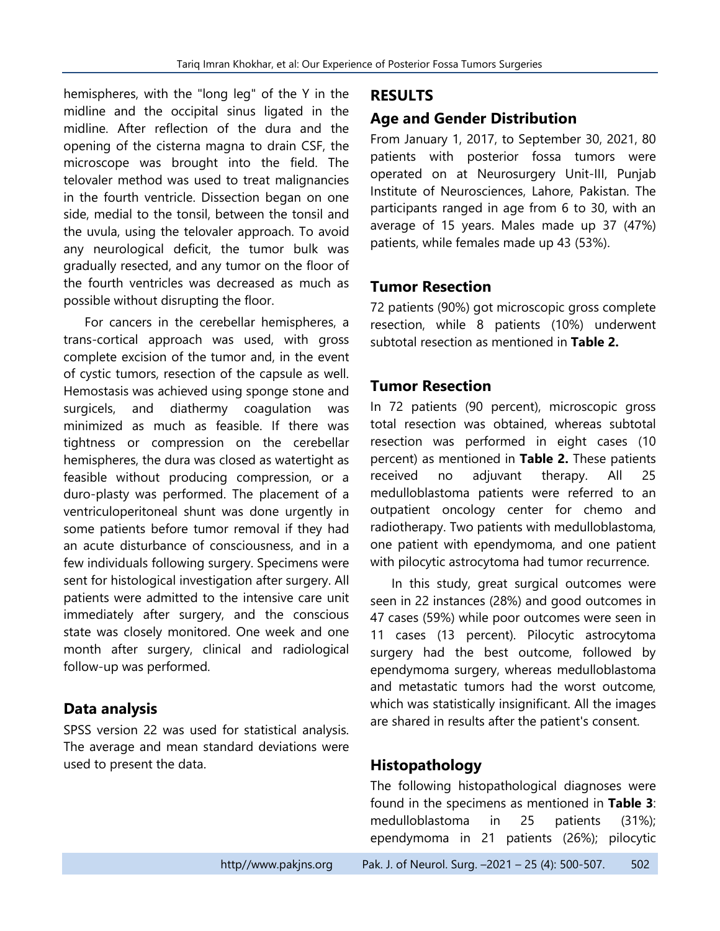hemispheres, with the "long leg" of the Y in the midline and the occipital sinus ligated in the midline. After reflection of the dura and the opening of the cisterna magna to drain CSF, the microscope was brought into the field. The telovaler method was used to treat malignancies in the fourth ventricle. Dissection began on one side, medial to the tonsil, between the tonsil and the uvula, using the telovaler approach. To avoid any neurological deficit, the tumor bulk was gradually resected, and any tumor on the floor of the fourth ventricles was decreased as much as possible without disrupting the floor.

For cancers in the cerebellar hemispheres, a trans-cortical approach was used, with gross complete excision of the tumor and, in the event of cystic tumors, resection of the capsule as well. Hemostasis was achieved using sponge stone and surgicels, and diathermy coagulation was minimized as much as feasible. If there was tightness or compression on the cerebellar hemispheres, the dura was closed as watertight as feasible without producing compression, or a duro-plasty was performed. The placement of a ventriculoperitoneal shunt was done urgently in some patients before tumor removal if they had an acute disturbance of consciousness, and in a few individuals following surgery. Specimens were sent for histological investigation after surgery. All patients were admitted to the intensive care unit immediately after surgery, and the conscious state was closely monitored. One week and one month after surgery, clinical and radiological follow-up was performed.

### **Data analysis**

SPSS version 22 was used for statistical analysis. The average and mean standard deviations were used to present the data.

#### **RESULTS**

### **Age and Gender Distribution**

From January 1, 2017, to September 30, 2021, 80 patients with posterior fossa tumors were operated on at Neurosurgery Unit-III, Punjab Institute of Neurosciences, Lahore, Pakistan. The participants ranged in age from 6 to 30, with an average of 15 years. Males made up 37 (47%) patients, while females made up 43 (53%).

#### **Tumor Resection**

72 patients (90%) got microscopic gross complete resection, while 8 patients (10%) underwent subtotal resection as mentioned in **Table 2.**

### **Tumor Resection**

In 72 patients (90 percent), microscopic gross total resection was obtained, whereas subtotal resection was performed in eight cases (10 percent) as mentioned in **Table 2.** These patients received no adjuvant therapy. All 25 medulloblastoma patients were referred to an outpatient oncology center for chemo and radiotherapy. Two patients with medulloblastoma, one patient with ependymoma, and one patient with pilocytic astrocytoma had tumor recurrence.

In this study, great surgical outcomes were seen in 22 instances (28%) and good outcomes in 47 cases (59%) while poor outcomes were seen in 11 cases (13 percent). Pilocytic astrocytoma surgery had the best outcome, followed by ependymoma surgery, whereas medulloblastoma and metastatic tumors had the worst outcome, which was statistically insignificant. All the images are shared in results after the patient's consent.

### **Histopathology**

The following histopathological diagnoses were found in the specimens as mentioned in **Table 3**: medulloblastoma in 25 patients (31%); ependymoma in 21 patients (26%); pilocytic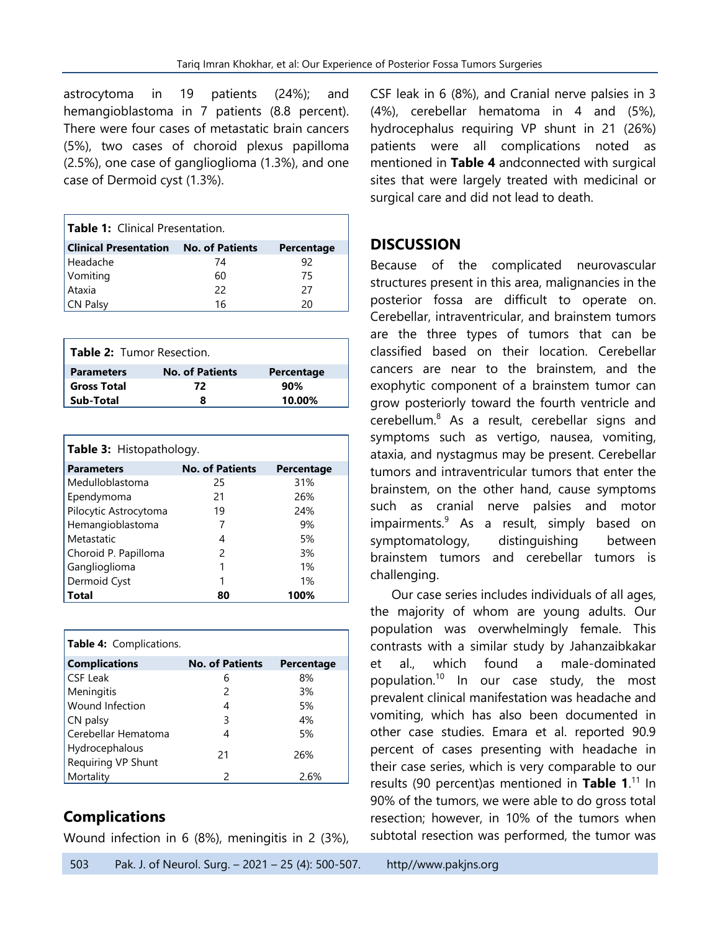astrocytoma in 19 patients (24%); and hemangioblastoma in 7 patients (8.8 percent). There were four cases of metastatic brain cancers (5%), two cases of choroid plexus papilloma (2.5%), one case of ganglioglioma (1.3%), and one case of Dermoid cyst (1.3%).

| Table 1: Clinical Presentation.       |    |            |  |
|---------------------------------------|----|------------|--|
| Clinical Presentation No. of Patients |    | Percentage |  |
| Headache                              | 74 | 92         |  |
| Vomiting                              | 60 | 75         |  |
| Ataxia                                | 22 | 27         |  |
| <b>CN Palsy</b>                       | 16 | 20         |  |

| <b>Table 2:</b> Tumor Resection. |                        |            |
|----------------------------------|------------------------|------------|
| <b>Parameters</b>                | <b>No. of Patients</b> | Percentage |
| <b>Gross Total</b>               | 72                     | 90%        |
| Sub-Total                        | я                      | 10.00%     |

| <b>Table 3:</b> Histopathology. |                        |            |  |
|---------------------------------|------------------------|------------|--|
| <b>Parameters</b>               | <b>No. of Patients</b> | Percentage |  |
| Medulloblastoma                 | 25                     | 31%        |  |
| Ependymoma                      | 21                     | 26%        |  |
| Pilocytic Astrocytoma           | 19                     | 24%        |  |
| Hemangioblastoma                |                        | 9%         |  |
| Metastatic                      | 4                      | 5%         |  |
| Choroid P. Papilloma            | 2                      | 3%         |  |
| Ganglioglioma                   | 1                      | $1\%$      |  |
| Dermoid Cyst                    | 1                      | 1%         |  |
| Total                           | 80                     | 100%       |  |

| <b>Table 4:</b> Complications.       |                        |            |
|--------------------------------------|------------------------|------------|
| <b>Complications</b>                 | <b>No. of Patients</b> | Percentage |
| <b>CSF Leak</b>                      | 6                      | 8%         |
| Meningitis                           | 2                      | 3%         |
| <b>Wound Infection</b>               | 4                      | 5%         |
| CN palsy                             | 3                      | $4\%$      |
| Cerebellar Hematoma                  | 4                      | 5%         |
| Hydrocephalous<br>Requiring VP Shunt | 21                     | 26%        |
| Mortality                            | $\mathcal{P}$          | 2.6%       |

## **Complications**

Wound infection in 6 (8%), meningitis in 2 (3%),

CSF leak in 6 (8%), and Cranial nerve palsies in 3 (4%), cerebellar hematoma in 4 and (5%), hydrocephalus requiring VP shunt in 21 (26%) patients were all complications noted as mentioned in **Table 4** andconnected with surgical sites that were largely treated with medicinal or surgical care and did not lead to death.

### **DISCUSSION**

Because of the complicated neurovascular structures present in this area, malignancies in the posterior fossa are difficult to operate on. Cerebellar, intraventricular, and brainstem tumors are the three types of tumors that can be classified based on their location. Cerebellar cancers are near to the brainstem, and the exophytic component of a brainstem tumor can grow posteriorly toward the fourth ventricle and cerebellum.<sup>8</sup> As a result, cerebellar signs and symptoms such as vertigo, nausea, vomiting, ataxia, and nystagmus may be present. Cerebellar tumors and intraventricular tumors that enter the brainstem, on the other hand, cause symptoms such as cranial nerve palsies and motor impairments.<sup>9</sup> As a result, simply based on symptomatology, distinguishing between brainstem tumors and cerebellar tumors is challenging.

Our case series includes individuals of all ages, the majority of whom are young adults. Our population was overwhelmingly female. This contrasts with a similar study by Jahanzaibkakar et al., which found a male-dominated population.<sup>10</sup> In our case study, the most prevalent clinical manifestation was headache and vomiting, which has also been documented in other case studies. Emara et al. reported 90.9 percent of cases presenting with headache in their case series, which is very comparable to our results (90 percent)as mentioned in **Table 1**. <sup>11</sup> In 90% of the tumors, we were able to do gross total resection; however, in 10% of the tumors when subtotal resection was performed, the tumor was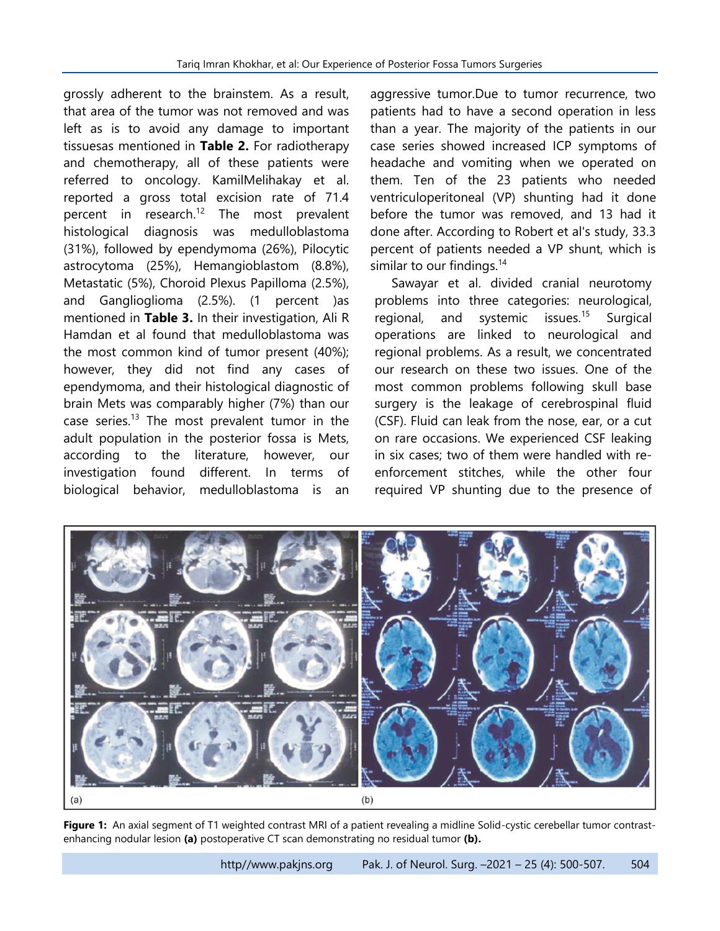grossly adherent to the brainstem. As a result, that area of the tumor was not removed and was left as is to avoid any damage to important tissuesas mentioned in **Table 2.** For radiotherapy and chemotherapy, all of these patients were referred to oncology. KamilMelihakay et al. reported a gross total excision rate of 71.4 percent in research.<sup>12</sup> The most prevalent histological diagnosis was medulloblastoma (31%), followed by ependymoma (26%), Pilocytic astrocytoma (25%), Hemangioblastom (8.8%), Metastatic (5%), Choroid Plexus Papilloma (2.5%), and Ganglioglioma (2.5%). (1 percent )as mentioned in **Table 3.** In their investigation, Ali R Hamdan et al found that medulloblastoma was the most common kind of tumor present (40%); however, they did not find any cases of ependymoma, and their histological diagnostic of brain Mets was comparably higher (7%) than our case series.<sup>13</sup> The most prevalent tumor in the adult population in the posterior fossa is Mets, according to the literature, however, our investigation found different. In terms of biological behavior, medulloblastoma is an

aggressive tumor.Due to tumor recurrence, two patients had to have a second operation in less than a year. The majority of the patients in our case series showed increased ICP symptoms of headache and vomiting when we operated on them. Ten of the 23 patients who needed ventriculoperitoneal (VP) shunting had it done before the tumor was removed, and 13 had it done after. According to Robert et al's study, 33.3 percent of patients needed a VP shunt, which is similar to our findings. $14$ 

Sawayar et al. divided cranial neurotomy problems into three categories: neurological, regional, and systemic issues.<sup>15</sup> Surgical operations are linked to neurological and regional problems. As a result, we concentrated our research on these two issues. One of the most common problems following skull base surgery is the leakage of cerebrospinal fluid (CSF). Fluid can leak from the nose, ear, or a cut on rare occasions. We experienced CSF leaking in six cases; two of them were handled with reenforcement stitches, while the other four required VP shunting due to the presence of



**Figure 1:** An axial segment of T1 weighted contrast MRI of a patient revealing a midline Solid-cystic cerebellar tumor contrastenhancing nodular lesion **(a)** postoperative CT scan demonstrating no residual tumor **(b).**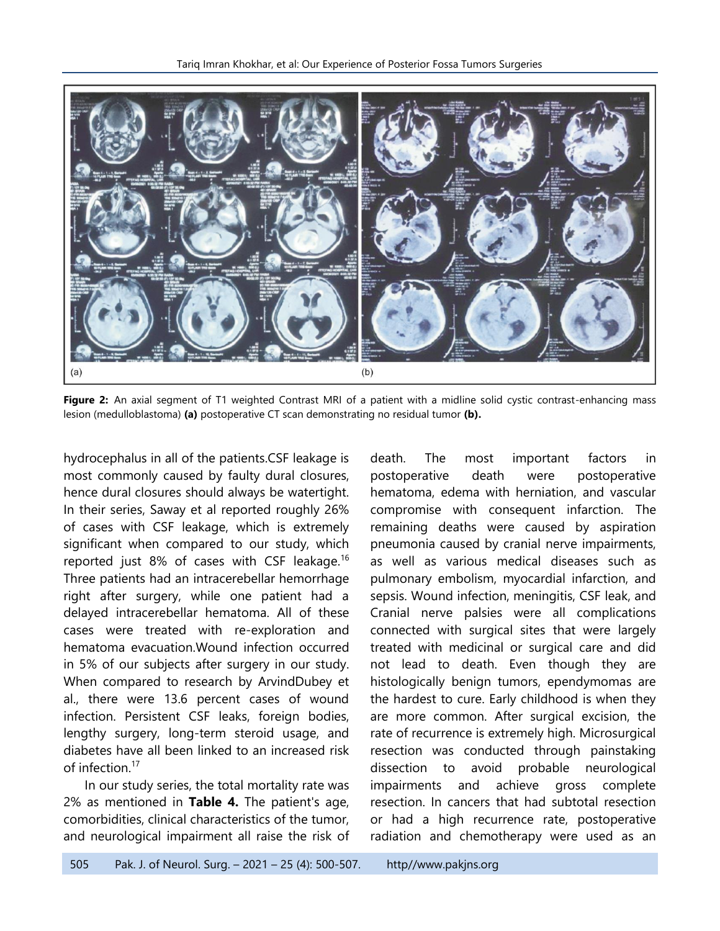

**Figure 2:** An axial segment of T1 weighted Contrast MRI of a patient with a midline solid cystic contrast-enhancing mass lesion (medulloblastoma) **(a)** postoperative CT scan demonstrating no residual tumor **(b).**

hydrocephalus in all of the patients.CSF leakage is most commonly caused by faulty dural closures, hence dural closures should always be watertight. In their series, Saway et al reported roughly 26% of cases with CSF leakage, which is extremely significant when compared to our study, which reported just 8% of cases with CSF leakage.<sup>16</sup> Three patients had an intracerebellar hemorrhage right after surgery, while one patient had a delayed intracerebellar hematoma. All of these cases were treated with re-exploration and hematoma evacuation.Wound infection occurred in 5% of our subjects after surgery in our study. When compared to research by ArvindDubey et al., there were 13.6 percent cases of wound infection. Persistent CSF leaks, foreign bodies, lengthy surgery, long-term steroid usage, and diabetes have all been linked to an increased risk of infection.<sup>17</sup>

In our study series, the total mortality rate was 2% as mentioned in **Table 4.** The patient's age, comorbidities, clinical characteristics of the tumor, and neurological impairment all raise the risk of death. The most important factors in postoperative death were postoperative hematoma, edema with herniation, and vascular compromise with consequent infarction. The remaining deaths were caused by aspiration pneumonia caused by cranial nerve impairments, as well as various medical diseases such as pulmonary embolism, myocardial infarction, and sepsis. Wound infection, meningitis, CSF leak, and Cranial nerve palsies were all complications connected with surgical sites that were largely treated with medicinal or surgical care and did not lead to death. Even though they are histologically benign tumors, ependymomas are the hardest to cure. Early childhood is when they are more common. After surgical excision, the rate of recurrence is extremely high. Microsurgical resection was conducted through painstaking dissection to avoid probable neurological impairments and achieve gross complete resection. In cancers that had subtotal resection or had a high recurrence rate, postoperative radiation and chemotherapy were used as an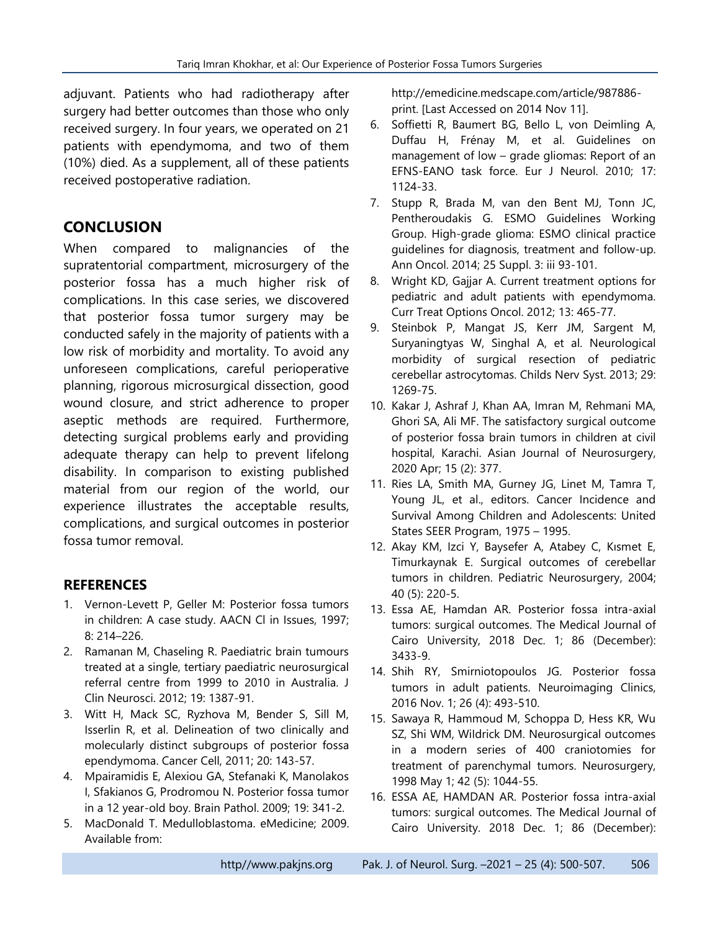adjuvant. Patients who had radiotherapy after surgery had better outcomes than those who only received surgery. In four years, we operated on 21 patients with ependymoma, and two of them (10%) died. As a supplement, all of these patients received postoperative radiation.

## **CONCLUSION**

When compared to malignancies of the supratentorial compartment, microsurgery of the posterior fossa has a much higher risk of complications. In this case series, we discovered that posterior fossa tumor surgery may be conducted safely in the majority of patients with a low risk of morbidity and mortality. To avoid any unforeseen complications, careful perioperative planning, rigorous microsurgical dissection, good wound closure, and strict adherence to proper aseptic methods are required. Furthermore, detecting surgical problems early and providing adequate therapy can help to prevent lifelong disability. In comparison to existing published material from our region of the world, our experience illustrates the acceptable results, complications, and surgical outcomes in posterior fossa tumor removal.

### **REFERENCES**

- 1. Vernon-Levett P, Geller M: Posterior fossa tumors in children: A case study. AACN Cl in Issues, 1997; 8: 214–226.
- 2. Ramanan M, Chaseling R. Paediatric brain tumours treated at a single, tertiary paediatric neurosurgical referral centre from 1999 to 2010 in Australia. J Clin Neurosci. 2012; 19: 1387-91.
- 3. Witt H, Mack SC, Ryzhova M, Bender S, Sill M, Isserlin R, et al. Delineation of two clinically and molecularly distinct subgroups of posterior fossa ependymoma. Cancer Cell, 2011; 20: 143-57.
- 4. Mpairamidis E, Alexiou GA, Stefanaki K, Manolakos I, Sfakianos G, Prodromou N. Posterior fossa tumor in a 12 year-old boy. Brain Pathol. 2009; 19: 341-2.
- 5. MacDonald T. Medulloblastoma. eMedicine; 2009. Available from:

http://emedicine.medscape.com/article/987886 print. [Last Accessed on 2014 Nov 11].

- 6. Soffietti R, Baumert BG, Bello L, von Deimling A, Duffau H, Frénay M, et al. Guidelines on management of low – grade gliomas: Report of an EFNS-EANO task force. Eur J Neurol. 2010; 17: 1124-33.
- 7. Stupp R, Brada M, van den Bent MJ, Tonn JC, Pentheroudakis G. ESMO Guidelines Working Group. High-grade glioma: ESMO clinical practice guidelines for diagnosis, treatment and follow-up. Ann Oncol. 2014; 25 Suppl. 3: iii 93-101.
- 8. Wright KD, Gajjar A. Current treatment options for pediatric and adult patients with ependymoma. Curr Treat Options Oncol. 2012; 13: 465-77.
- 9. Steinbok P, Mangat JS, Kerr JM, Sargent M, Suryaningtyas W, Singhal A, et al. Neurological morbidity of surgical resection of pediatric cerebellar astrocytomas. Childs Nerv Syst. 2013; 29: 1269-75.
- 10. Kakar J, Ashraf J, Khan AA, Imran M, Rehmani MA, Ghori SA, Ali MF. The satisfactory surgical outcome of posterior fossa brain tumors in children at civil hospital, Karachi. Asian Journal of Neurosurgery, 2020 Apr; 15 (2): 377.
- 11. Ries LA, Smith MA, Gurney JG, Linet M, Tamra T, Young JL, et al., editors. Cancer Incidence and Survival Among Children and Adolescents: United States SEER Program, 1975 – 1995.
- 12. Akay KM, Izci Y, Baysefer A, Atabey C, Kısmet E, Timurkaynak E. Surgical outcomes of cerebellar tumors in children. Pediatric Neurosurgery, 2004; 40 (5): 220-5.
- 13. Essa AE, Hamdan AR. Posterior fossa intra-axial tumors: surgical outcomes. The Medical Journal of Cairo University, 2018 Dec. 1; 86 (December): 3433-9.
- 14. Shih RY, Smirniotopoulos JG. Posterior fossa tumors in adult patients. Neuroimaging Clinics, 2016 Nov. 1; 26 (4): 493-510.
- 15. Sawaya R, Hammoud M, Schoppa D, Hess KR, Wu SZ, Shi WM, WiIdrick DM. Neurosurgical outcomes in a modern series of 400 craniotomies for treatment of parenchymal tumors. Neurosurgery, 1998 May 1; 42 (5): 1044-55.
- 16. ESSA AE, HAMDAN AR. Posterior fossa intra-axial tumors: surgical outcomes. The Medical Journal of Cairo University. 2018 Dec. 1; 86 (December):